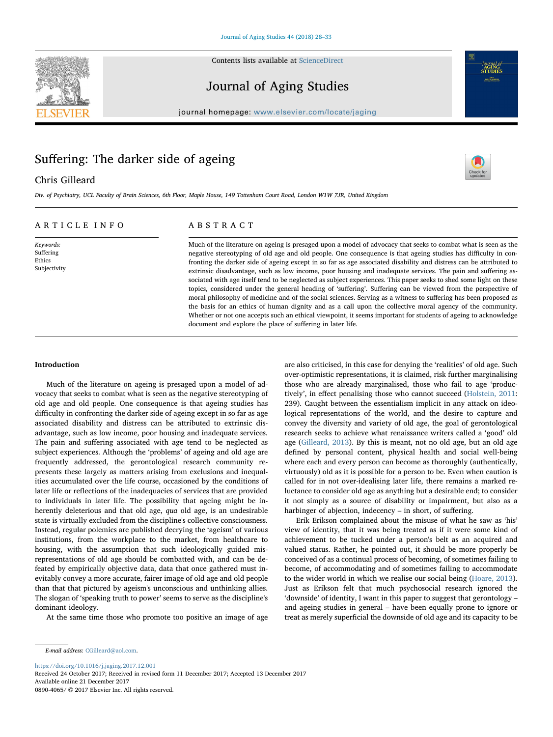Contents lists available at [ScienceDirect](http://www.sciencedirect.com/science/journal/08904065)



# Journal of Aging Studies

journal homepage: [www.elsevier.com/locate/jaging](https://www.elsevier.com/locate/jaging)

# Suffering: The darker side of ageing

## Chris Gilleard



Journal of<br>**AGING**<br>STUDIES

Div. of Psychiatry, UCL Faculty of Brain Sciences, 6th Floor, Maple House, 149 Tottenham Court Road, London W1W 7JR, United Kingdom

## ARTICLE INFO

Keywords: Suffering Ethics Subjectivity

# ABSTRACT

Much of the literature on ageing is presaged upon a model of advocacy that seeks to combat what is seen as the negative stereotyping of old age and old people. One consequence is that ageing studies has difficulty in confronting the darker side of ageing except in so far as age associated disability and distress can be attributed to extrinsic disadvantage, such as low income, poor housing and inadequate services. The pain and suffering associated with age itself tend to be neglected as subject experiences. This paper seeks to shed some light on these topics, considered under the general heading of 'suffering'. Suffering can be viewed from the perspective of moral philosophy of medicine and of the social sciences. Serving as a witness to suffering has been proposed as the basis for an ethics of human dignity and as a call upon the collective moral agency of the community. Whether or not one accepts such an ethical viewpoint, it seems important for students of ageing to acknowledge document and explore the place of suffering in later life.

### Introduction

Much of the literature on ageing is presaged upon a model of advocacy that seeks to combat what is seen as the negative stereotyping of old age and old people. One consequence is that ageing studies has difficulty in confronting the darker side of ageing except in so far as age associated disability and distress can be attributed to extrinsic disadvantage, such as low income, poor housing and inadequate services. The pain and suffering associated with age tend to be neglected as subject experiences. Although the 'problems' of ageing and old age are frequently addressed, the gerontological research community represents these largely as matters arising from exclusions and inequalities accumulated over the life course, occasioned by the conditions of later life or reflections of the inadequacies of services that are provided to individuals in later life. The possibility that ageing might be inherently deleterious and that old age, qua old age, is an undesirable state is virtually excluded from the discipline's collective consciousness. Instead, regular polemics are published decrying the 'ageism' of various institutions, from the workplace to the market, from healthcare to housing, with the assumption that such ideologically guided misrepresentations of old age should be combatted with, and can be defeated by empirically objective data, data that once gathered must inevitably convey a more accurate, fairer image of old age and old people than that that pictured by ageism's unconscious and unthinking allies. The slogan of 'speaking truth to power' seems to serve as the discipline's dominant ideology.

At the same time those who promote too positive an image of age

are also criticised, in this case for denying the 'realities' of old age. Such over-optimistic representations, it is claimed, risk further marginalising those who are already marginalised, those who fail to age 'productively', in effect penalising those who cannot succeed [\(Holstein, 2011](#page-5-0): 239). Caught between the essentialism implicit in any attack on ideological representations of the world, and the desire to capture and convey the diversity and variety of old age, the goal of gerontological research seeks to achieve what renaissance writers called a 'good' old age ([Gilleard, 2013](#page-5-1)). By this is meant, not no old age, but an old age defined by personal content, physical health and social well-being where each and every person can become as thoroughly (authentically, virtuously) old as it is possible for a person to be. Even when caution is called for in not over-idealising later life, there remains a marked reluctance to consider old age as anything but a desirable end; to consider it not simply as a source of disability or impairment, but also as a harbinger of abjection, indecency – in short, of suffering.

Erik Erikson complained about the misuse of what he saw as 'his' view of identity, that it was being treated as if it were some kind of achievement to be tucked under a person's belt as an acquired and valued status. Rather, he pointed out, it should be more properly be conceived of as a continual process of becoming, of sometimes failing to become, of accommodating and of sometimes failing to accommodate to the wider world in which we realise our social being [\(Hoare, 2013](#page-5-2)). Just as Erikson felt that much psychosocial research ignored the 'downside' of identity, I want in this paper to suggest that gerontology – and ageing studies in general – have been equally prone to ignore or treat as merely superficial the downside of old age and its capacity to be

E-mail address: [CGilleard@aol.com.](mailto:CGilleard@aol.com)

<https://doi.org/10.1016/j.jaging.2017.12.001>

Received 24 October 2017; Received in revised form 11 December 2017; Accepted 13 December 2017 Available online 21 December 2017

0890-4065/ © 2017 Elsevier Inc. All rights reserved.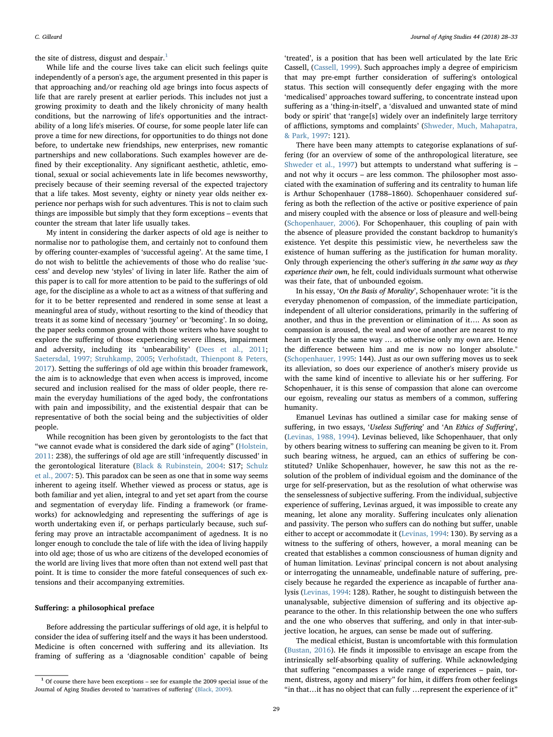the site of distress, disgust and despair. $<sup>1</sup>$  $<sup>1</sup>$  $<sup>1</sup>$ </sup>

While life and the course lives take can elicit such feelings quite independently of a person's age, the argument presented in this paper is that approaching and/or reaching old age brings into focus aspects of life that are rarely present at earlier periods. This includes not just a growing proximity to death and the likely chronicity of many health conditions, but the narrowing of life's opportunities and the intractability of a long life's miseries. Of course, for some people later life can prove a time for new directions, for opportunities to do things not done before, to undertake new friendships, new enterprises, new romantic partnerships and new collaborations. Such examples however are defined by their exceptionality. Any significant aesthetic, athletic, emotional, sexual or social achievements late in life becomes newsworthy, precisely because of their seeming reversal of the expected trajectory that a life takes. Most seventy, eighty or ninety year olds neither experience nor perhaps wish for such adventures. This is not to claim such things are impossible but simply that they form exceptions – events that counter the stream that later life usually takes.

My intent in considering the darker aspects of old age is neither to normalise nor to pathologise them, and certainly not to confound them by offering counter-examples of 'successful ageing'. At the same time, I do not wish to belittle the achievements of those who do realise 'success' and develop new 'styles' of living in later life. Rather the aim of this paper is to call for more attention to be paid to the sufferings of old age, for the discipline as a whole to act as a witness of that suffering and for it to be better represented and rendered in some sense at least a meaningful area of study, without resorting to the kind of theodicy that treats it as some kind of necessary 'journey' or 'becoming'. In so doing, the paper seeks common ground with those writers who have sought to explore the suffering of those experiencing severe illness, impairment and adversity, including its 'unbearability' [\(Dees et al., 2011](#page-5-3); [Saetersdal, 1997; Struhkamp, 2005;](#page-5-4) [Verhofstadt, Thienpont & Peters,](#page-5-5) [2017\)](#page-5-5). Setting the sufferings of old age within this broader framework, the aim is to acknowledge that even when access is improved, income secured and inclusion realised for the mass of older people, there remain the everyday humiliations of the aged body, the confrontations with pain and impossibility, and the existential despair that can be representative of both the social being and the subjectivities of older people.

While recognition has been given by gerontologists to the fact that "we cannot evade what is considered the dark side of aging" [\(Holstein,](#page-5-0) [2011:](#page-5-0) 238), the sufferings of old age are still 'infrequently discussed' in the gerontological literature [\(Black & Rubinstein, 2004:](#page-5-6) S17; [Schulz](#page-5-7) [et al., 2007:](#page-5-7) 5). This paradox can be seen as one that in some way seems inherent to ageing itself. Whether viewed as process or status, age is both familiar and yet alien, integral to and yet set apart from the course and segmentation of everyday life. Finding a framework (or frameworks) for acknowledging and representing the sufferings of age is worth undertaking even if, or perhaps particularly because, such suffering may prove an intractable accompaniment of agedness. It is no longer enough to conclude the tale of life with the idea of living happily into old age; those of us who are citizens of the developed economies of the world are living lives that more often than not extend well past that point. It is time to consider the more fateful consequences of such extensions and their accompanying extremities.

#### Suffering: a philosophical preface

Before addressing the particular sufferings of old age, it is helpful to consider the idea of suffering itself and the ways it has been understood. Medicine is often concerned with suffering and its alleviation. Its framing of suffering as a 'diagnosable condition' capable of being

'treated', is a position that has been well articulated by the late Eric Cassell, [\(Cassell, 1999\)](#page-5-8). Such approaches imply a degree of empiricism that may pre-empt further consideration of suffering's ontological status. This section will consequently defer engaging with the more 'medicalised' approaches toward suffering, to concentrate instead upon suffering as a 'thing-in-itself', a 'disvalued and unwanted state of mind body or spirit' that 'range[s] widely over an indefinitely large territory of afflictions, symptoms and complaints' [\(Shweder, Much, Mahapatra,](#page-5-9) [& Park, 1997:](#page-5-9) 121).

There have been many attempts to categorise explanations of suffering (for an overview of some of the anthropological literature, see [Shweder et al., 1997](#page-5-9)) but attempts to understand what suffering is – and not why it occurs – are less common. The philosopher most associated with the examination of suffering and its centrality to human life is Arthur Schopenhauer (1788–1860). Schopenhauer considered suffering as both the reflection of the active or positive experience of pain and misery coupled with the absence or loss of pleasure and well-being ([Schopenhauer, 2006](#page-5-10)). For Schopenhauer, this coupling of pain with the absence of pleasure provided the constant backdrop to humanity's existence. Yet despite this pessimistic view, he nevertheless saw the existence of human suffering as the justification for human morality. Only through experiencing the other's suffering in the same way as they experience their own, he felt, could individuals surmount what otherwise was their fate, that of unbounded egoism.

In his essay, 'On the Basis of Morality', Schopenhauer wrote: "it is the everyday phenomenon of compassion, of the immediate participation, independent of all ulterior considerations, primarily in the suffering of another, and thus in the prevention or elimination of it…. As soon as compassion is aroused, the weal and woe of another are nearest to my heart in exactly the same way … as otherwise only my own are. Hence the difference between him and me is now no longer absolute." ([Schopenhauer, 1995:](#page-5-11) 144). Just as our own suffering moves us to seek its alleviation, so does our experience of another's misery provide us with the same kind of incentive to alleviate his or her suffering. For Schopenhauer, it is this sense of compassion that alone can overcome our egoism, revealing our status as members of a common, suffering humanity.

Emanuel Levinas has outlined a similar case for making sense of suffering, in two essays, 'Useless Suffering' and 'An Ethics of Suffering', ([Levinas, 1988, 1994](#page-5-12)). Levinas believed, like Schopenhauer, that only by others bearing witness to suffering can meaning be given to it. From such bearing witness, he argued, can an ethics of suffering be constituted? Unlike Schopenhauer, however, he saw this not as the resolution of the problem of individual egoism and the dominance of the urge for self-preservation, but as the resolution of what otherwise was the senselessness of subjective suffering. From the individual, subjective experience of suffering, Levinas argued, it was impossible to create any meaning, let alone any morality. Suffering inculcates only alienation and passivity. The person who suffers can do nothing but suffer, unable either to accept or accommodate it ([Levinas, 1994](#page-5-13): 130). By serving as a witness to the suffering of others, however, a moral meaning can be created that establishes a common consciousness of human dignity and of human limitation. Levinas' principal concern is not about analysing or interrogating the unnameable, undefinable nature of suffering, precisely because he regarded the experience as incapable of further analysis [\(Levinas, 1994:](#page-5-13) 128). Rather, he sought to distinguish between the unanalysable, subjective dimension of suffering and its objective appearance to the other. In this relationship between the one who suffers and the one who observes that suffering, and only in that inter-subjective location, he argues, can sense be made out of suffering.

The medical ethicist, Bustan is uncomfortable with this formulation ([Bustan, 2016](#page-5-14)). He finds it impossible to envisage an escape from the intrinsically self-absorbing quality of suffering. While acknowledging that suffering "encompasses a wide range of experiences – pain, torment, distress, agony and misery" for him, it differs from other feelings "in that…it has no object that can fully …represent the experience of it"

<span id="page-1-0"></span><sup>1</sup> Of course there have been exceptions – see for example the 2009 special issue of the Journal of Aging Studies devoted to 'narratives of suffering' ([Black, 2009](#page-5-15)).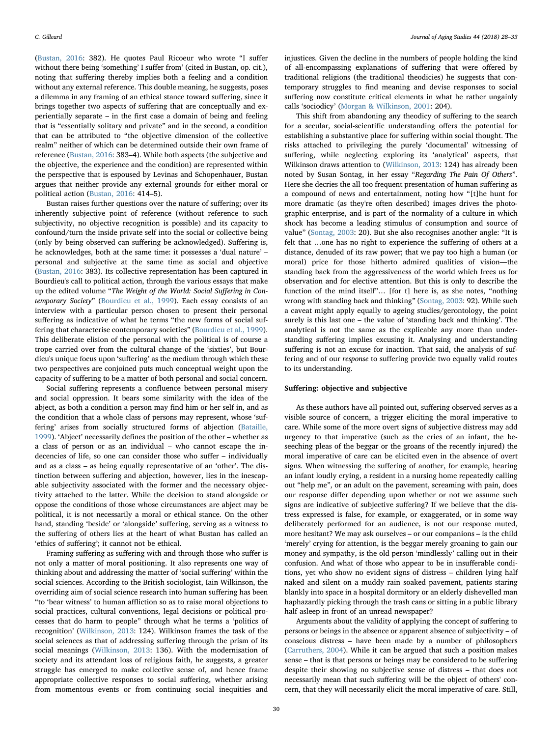([Bustan, 2016](#page-5-14): 382). He quotes Paul Ricoeur who wrote "I suffer without there being 'something' I suffer from' (cited in Bustan, op. cit.), noting that suffering thereby implies both a feeling and a condition without any external reference. This double meaning, he suggests, poses a dilemma in any framing of an ethical stance toward suffering, since it brings together two aspects of suffering that are conceptually and experientially separate – in the first case a domain of being and feeling that is "essentially solitary and private" and in the second, a condition that can be attributed to "the objective dimension of the collective realm" neither of which can be determined outside their own frame of reference [\(Bustan, 2016](#page-5-14): 383–4). While both aspects (the subjective and the objective, the experience and the condition) are represented within the perspective that is espoused by Levinas and Schopenhauer, Bustan argues that neither provide any external grounds for either moral or political action [\(Bustan, 2016](#page-5-14): 414–5).

Bustan raises further questions over the nature of suffering; over its inherently subjective point of reference (without reference to such subjectivity, no objective recognition is possible) and its capacity to confound/turn the inside private self into the social or collective being (only by being observed can suffering be acknowledged). Suffering is, he acknowledges, both at the same time: it possesses a 'dual nature' – personal and subjective at the same time as social and objective ([Bustan, 2016](#page-5-14): 383). Its collective representation has been captured in Bourdieu's call to political action, through the various essays that make up the edited volume "The Weight of the World: Social Suffering in Contemporary Society" [\(Bourdieu et al., 1999](#page-5-16)). Each essay consists of an interview with a particular person chosen to present their personal suffering as indicative of what he terms "the new forms of social suffering that characterise contemporary societies" [\(Bourdieu et al., 1999](#page-5-16)). This deliberate elision of the personal with the political is of course a trope carried over from the cultural change of the 'sixties', but Bourdieu's unique focus upon 'suffering' as the medium through which these two perspectives are conjoined puts much conceptual weight upon the capacity of suffering to be a matter of both personal and social concern.

Social suffering represents a confluence between personal misery and social oppression. It bears some similarity with the idea of the abject, as both a condition a person may find him or her self in, and as the condition that a whole class of persons may represent, whose 'suffering' arises from socially structured forms of abjection ([Bataille,](#page-5-17) [1999\)](#page-5-17). 'Abject' necessarily defines the position of the other – whether as a class of person or as an individual – who cannot escape the indecencies of life, so one can consider those who suffer – individually and as a class – as being equally representative of an 'other'. The distinction between suffering and abjection, however, lies in the inescapable subjectivity associated with the former and the necessary objectivity attached to the latter. While the decision to stand alongside or oppose the conditions of those whose circumstances are abject may be political, it is not necessarily a moral or ethical stance. On the other hand, standing 'beside' or 'alongside' suffering, serving as a witness to the suffering of others lies at the heart of what Bustan has called an 'ethics of suffering'; it cannot not be ethical.

Framing suffering as suffering with and through those who suffer is not only a matter of moral positioning. It also represents one way of thinking about and addressing the matter of 'social suffering' within the social sciences. According to the British sociologist, Iain Wilkinson, the overriding aim of social science research into human suffering has been "to 'bear witness' to human affliction so as to raise moral objections to social practices, cultural conventions, legal decisions or political processes that do harm to people" through what he terms a 'politics of recognition' ([Wilkinson, 2013](#page-5-18): 124). Wilkinson frames the task of the social sciences as that of addressing suffering through the prism of its social meanings [\(Wilkinson, 2013:](#page-5-18) 136). With the modernisation of society and its attendant loss of religious faith, he suggests, a greater struggle has emerged to make collective sense of, and hence frame appropriate collective responses to social suffering, whether arising from momentous events or from continuing social inequities and

injustices. Given the decline in the numbers of people holding the kind of all-encompassing explanations of suffering that were offered by traditional religions (the traditional theodicies) he suggests that contemporary struggles to find meaning and devise responses to social suffering now constitute critical elements in what he rather ungainly calls 'sociodicy' [\(Morgan & Wilkinson, 2001:](#page-5-19) 204).

This shift from abandoning any theodicy of suffering to the search for a secular, social-scientific understanding offers the potential for establishing a substantive place for suffering within social thought. The risks attached to privileging the purely 'documental' witnessing of suffering, while neglecting exploring its 'analytical' aspects, that Wilkinson draws attention to ([Wilkinson, 2013:](#page-5-18) 124) has already been noted by Susan Sontag, in her essay "Regarding The Pain Of Others". Here she decries the all too frequent presentation of human suffering as a compound of news and entertainment, noting how "[t]he hunt for more dramatic (as they're often described) images drives the photographic enterprise, and is part of the normality of a culture in which shock has become a leading stimulus of consumption and source of value" ([Sontag, 2003](#page-5-20): 20). But she also recognises another angle: "It is felt that …one has no right to experience the suffering of others at a distance, denuded of its raw power; that we pay too high a human (or moral) price for those hitherto admired qualities of vision—the standing back from the aggressiveness of the world which frees us for observation and for elective attention. But this is only to describe the function of the mind itself"… [for t] here is, as she notes, "nothing wrong with standing back and thinking" ([Sontag, 2003:](#page-5-20) 92). While such a caveat might apply equally to ageing studies/gerontology, the point surely is this last one – the value of 'standing back and thinking'. The analytical is not the same as the explicable any more than understanding suffering implies excusing it. Analysing and understanding suffering is not an excuse for inaction. That said, the analysis of suffering and of our response to suffering provide two equally valid routes to its understanding.

#### Suffering: objective and subjective

As these authors have all pointed out, suffering observed serves as a visible source of concern, a trigger eliciting the moral imperative to care. While some of the more overt signs of subjective distress may add urgency to that imperative (such as the cries of an infant, the beseeching pleas of the beggar or the groans of the recently injured) the moral imperative of care can be elicited even in the absence of overt signs. When witnessing the suffering of another, for example, hearing an infant loudly crying, a resident in a nursing home repeatedly calling out "help me", or an adult on the pavement, screaming with pain, does our response differ depending upon whether or not we assume such signs are indicative of subjective suffering? If we believe that the distress expressed is false, for example, or exaggerated, or in some way deliberately performed for an audience, is not our response muted, more hesitant? We may ask ourselves – or our companions – is the child 'merely' crying for attention, is the beggar merely groaning to gain our money and sympathy, is the old person 'mindlessly' calling out in their confusion. And what of those who appear to be in insufferable conditions, yet who show no evident signs of distress – children lying half naked and silent on a muddy rain soaked pavement, patients staring blankly into space in a hospital dormitory or an elderly dishevelled man haphazardly picking through the trash cans or sitting in a public library half asleep in front of an unread newspaper?

Arguments about the validity of applying the concept of suffering to persons or beings in the absence or apparent absence of subjectivity – of conscious distress – have been made by a number of philosophers ([Carruthers, 2004\)](#page-5-21). While it can be argued that such a position makes sense – that is that persons or beings may be considered to be suffering despite their showing no subjective sense of distress – that does not necessarily mean that such suffering will be the object of others' concern, that they will necessarily elicit the moral imperative of care. Still,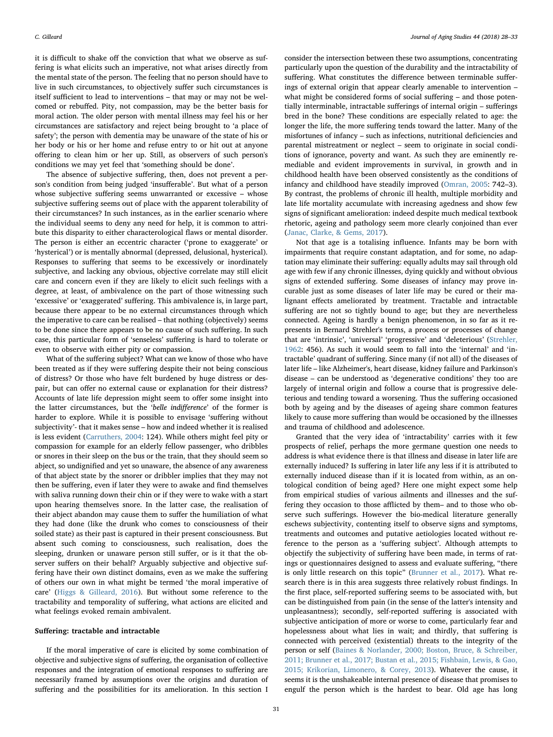it is difficult to shake off the conviction that what we observe as suffering is what elicits such an imperative, not what arises directly from the mental state of the person. The feeling that no person should have to live in such circumstances, to objectively suffer such circumstances is itself sufficient to lead to interventions – that may or may not be welcomed or rebuffed. Pity, not compassion, may be the better basis for moral action. The older person with mental illness may feel his or her circumstances are satisfactory and reject being brought to 'a place of safety'; the person with dementia may be unaware of the state of his or her body or his or her home and refuse entry to or hit out at anyone offering to clean him or her up. Still, as observers of such person's conditions we may yet feel that 'something should be done'.

The absence of subjective suffering, then, does not prevent a person's condition from being judged 'insufferable'. But what of a person whose subjective suffering seems unwarranted or excessive – whose subjective suffering seems out of place with the apparent tolerability of their circumstances? In such instances, as in the earlier scenario where the individual seems to deny any need for help, it is common to attribute this disparity to either characterological flaws or mental disorder. The person is either an eccentric character ('prone to exaggerate' or 'hysterical') or is mentally abnormal (depressed, delusional, hysterical). Responses to suffering that seems to be excessively or inordinately subjective, and lacking any obvious, objective correlate may still elicit care and concern even if they are likely to elicit such feelings with a degree, at least, of ambivalence on the part of those witnessing such 'excessive' or 'exaggerated' suffering. This ambivalence is, in large part, because there appear to be no external circumstances through which the imperative to care can be realised – that nothing (objectively) seems to be done since there appears to be no cause of such suffering. In such case, this particular form of 'senseless' suffering is hard to tolerate or even to observe with either pity or compassion.

What of the suffering subject? What can we know of those who have been treated as if they were suffering despite their not being conscious of distress? Or those who have felt burdened by huge distress or despair, but can offer no external cause or explanation for their distress? Accounts of late life depression might seem to offer some insight into the latter circumstances, but the 'belle indifference' of the former is harder to explore. While it is possible to envisage 'suffering without subjectivity'- that it makes sense – how and indeed whether it is realised is less evident ([Carruthers, 2004:](#page-5-21) 124). While others might feel pity or compassion for example for an elderly fellow passenger, who dribbles or snores in their sleep on the bus or the train, that they should seem so abject, so undignified and yet so unaware, the absence of any awareness of that abject state by the snorer or dribbler implies that they may not then be suffering, even if later they were to awake and find themselves with saliva running down their chin or if they were to wake with a start upon hearing themselves snore. In the latter case, the realisation of their abject abandon may cause them to suffer the humiliation of what they had done (like the drunk who comes to consciousness of their soiled state) as their past is captured in their present consciousness. But absent such coming to consciousness, such realisation, does the sleeping, drunken or unaware person still suffer, or is it that the observer suffers on their behalf? Arguably subjective and objective suffering have their own distinct domains, even as we make the suffering of others our own in what might be termed 'the moral imperative of care' ([Higgs & Gilleard, 2016\)](#page-5-22). But without some reference to the tractability and temporality of suffering, what actions are elicited and what feelings evoked remain ambivalent.

#### Suffering: tractable and intractable

If the moral imperative of care is elicited by some combination of objective and subjective signs of suffering, the organisation of collective responses and the integration of emotional responses to suffering are necessarily framed by assumptions over the origins and duration of suffering and the possibilities for its amelioration. In this section I consider the intersection between these two assumptions, concentrating particularly upon the question of the durability and the intractability of suffering. What constitutes the difference between terminable sufferings of external origin that appear clearly amenable to intervention – what might be considered forms of social suffering – and those potentially interminable, intractable sufferings of internal origin – sufferings bred in the bone? These conditions are especially related to age: the longer the life, the more suffering tends toward the latter. Many of the misfortunes of infancy – such as infections, nutritional deficiencies and parental mistreatment or neglect – seem to originate in social conditions of ignorance, poverty and want. As such they are eminently remediable and evident improvements in survival, in growth and in childhood health have been observed consistently as the conditions of infancy and childhood have steadily improved [\(Omran, 2005:](#page-5-23) 742–3). By contrast, the problems of chronic ill health, multiple morbidity and late life mortality accumulate with increasing agedness and show few signs of significant amelioration: indeed despite much medical textbook rhetoric, ageing and pathology seem more clearly conjoined than ever ([Janac, Clarke, & Gems, 2017\)](#page-5-24).

Not that age is a totalising influence. Infants may be born with impairments that require constant adaptation, and for some, no adaptation may eliminate their suffering: equally adults may sail through old age with few if any chronic illnesses, dying quickly and without obvious signs of extended suffering. Some diseases of infancy may prove incurable just as some diseases of later life may be cured or their malignant effects ameliorated by treatment. Tractable and intractable suffering are not so tightly bound to age; but they are nevertheless connected. Ageing is hardly a benign phenomenon, in so far as it represents in Bernard Strehler's terms, a process or processes of change that are 'intrinsic', 'universal' 'progressive' and 'deleterious' ([Strehler,](#page-5-25) [1962:](#page-5-25) 456). As such it would seem to fall into the 'internal' and 'intractable' quadrant of suffering. Since many (if not all) of the diseases of later life – like Alzheimer's, heart disease, kidney failure and Parkinson's disease – can be understood as 'degenerative conditions' they too are largely of internal origin and follow a course that is progressive deleterious and tending toward a worsening. Thus the suffering occasioned both by ageing and by the diseases of ageing share common features likely to cause more suffering than would be occasioned by the illnesses and trauma of childhood and adolescence.

Granted that the very idea of 'intractability' carries with it few prospects of relief, perhaps the more germane question one needs to address is what evidence there is that illness and disease in later life are externally induced? Is suffering in later life any less if it is attributed to externally induced disease than if it is located from within, as an ontological condition of being aged? Here one might expect some help from empirical studies of various ailments and illnesses and the suffering they occasion to those afflicted by them– and to those who observe such sufferings. However the bio-medical literature generally eschews subjectivity, contenting itself to observe signs and symptoms, treatments and outcomes and putative aetiologies located without reference to the person as a 'suffering subject'. Although attempts to objectify the subjectivity of suffering have been made, in terms of ratings or questionnaires designed to assess and evaluate suffering, "there is only little research on this topic" [\(Brunner et al., 2017](#page-5-26)). What research there is in this area suggests three relatively robust findings. In the first place, self-reported suffering seems to be associated with, but can be distinguished from pain (in the sense of the latter's intensity and unpleasantness); secondly, self-reported suffering is associated with subjective anticipation of more or worse to come, particularly fear and hopelessness about what lies in wait; and thirdly, that suffering is connected with perceived (existential) threats to the integrity of the person or self [\(Baines & Norlander, 2000; Boston, Bruce, & Schreiber,](#page-5-27) [2011; Brunner et al., 2017; Bustan et al., 2015; Fishbain, Lewis, & Gao,](#page-5-27) [2015; Krikorian, Limonero, & Corey, 2013\)](#page-5-27). Whatever the cause, it seems it is the unshakeable internal presence of disease that promises to engulf the person which is the hardest to bear. Old age has long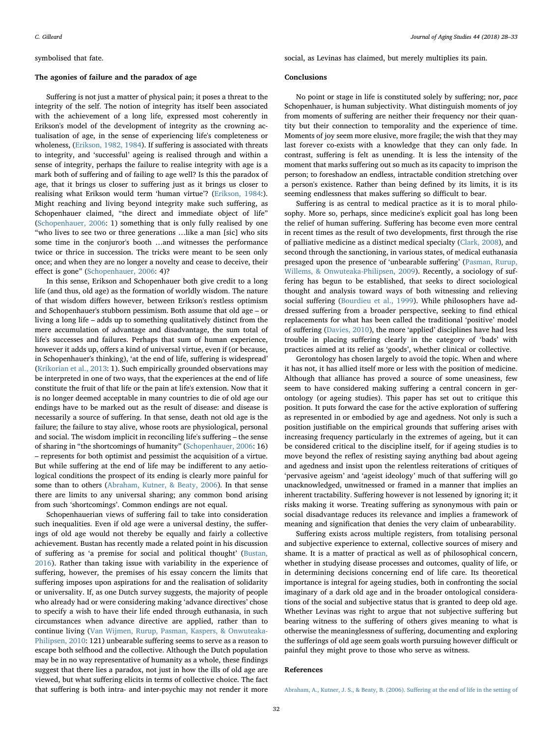#### symbolised that fate.

### The agonies of failure and the paradox of age

Suffering is not just a matter of physical pain; it poses a threat to the integrity of the self. The notion of integrity has itself been associated with the achievement of a long life, expressed most coherently in Erikson's model of the development of integrity as the crowning actualisation of age, in the sense of experiencing life's completeness or wholeness, [\(Erikson, 1982, 1984](#page-5-28)). If suffering is associated with threats to integrity, and 'successful' ageing is realised through and within a sense of integrity, perhaps the failure to realise integrity with age is a mark both of suffering and of failing to age well? Is this the paradox of age, that it brings us closer to suffering just as it brings us closer to realising what Erikson would term 'human virtue'? [\(Erikson, 1984](#page-5-29):). Might reaching and living beyond integrity make such suffering, as Schopenhauer claimed, "the direct and immediate object of life" ([Schopenhauer, 2006:](#page-5-10) 1) something that is only fully realised by one "who lives to see two or three generations …like a man [sic] who sits some time in the conjuror's booth …and witnesses the performance twice or thrice in succession. The tricks were meant to be seen only once; and when they are no longer a novelty and cease to deceive, their effect is gone" [\(Schopenhauer, 2006:](#page-5-10) 4)?

In this sense, Erikson and Schopenhauer both give credit to a long life (and thus, old age) as the formation of worldly wisdom. The nature of that wisdom differs however, between Erikson's restless optimism and Schopenhauer's stubborn pessimism. Both assume that old age – or living a long life – adds up to something qualitatively distinct from the mere accumulation of advantage and disadvantage, the sum total of life's successes and failures. Perhaps that sum of human experience, however it adds up, offers a kind of universal virtue, even if (or because, in Schopenhauer's thinking), 'at the end of life, suffering is widespread' ([Krikorian et al., 2013](#page-5-30): 1). Such empirically grounded observations may be interpreted in one of two ways, that the experiences at the end of life constitute the fruit of that life or the pain at life's extension. Now that it is no longer deemed acceptable in many countries to die of old age our endings have to be marked out as the result of disease: and disease is necessarily a source of suffering. In that sense, death not old age is the failure; the failure to stay alive, whose roots are physiological, personal and social. The wisdom implicit in reconciling life's suffering – the sense of sharing in "the shortcomings of humanity" ([Schopenhauer,](#page-5-10) 2006: 16) – represents for both optimist and pessimist the acquisition of a virtue. But while suffering at the end of life may be indifferent to any aetiological conditions the prospect of its ending is clearly more painful for some than to others ([Abraham, Kutner, & Beaty, 2006](#page-4-0)). In that sense there are limits to any universal sharing; any common bond arising from such 'shortcomings'. Common endings are not equal.

Schopenhauerian views of suffering fail to take into consideration such inequalities. Even if old age were a universal destiny, the sufferings of old age would not thereby be equally and fairly a collective achievement. Bustan has recently made a related point in his discussion of suffering as 'a premise for social and political thought' ([Bustan,](#page-5-14) [2016\)](#page-5-14). Rather than taking issue with variability in the experience of suffering, however, the premises of his essay concern the limits that suffering imposes upon aspirations for and the realisation of solidarity or universality. If, as one Dutch survey suggests, the majority of people who already had or were considering making 'advance directives' chose to specify a wish to have their life ended through euthanasia, in such circumstances when advance directive are applied, rather than to continue living [\(Van Wijmen, Rurup, Pasman, Kaspers, & Onwuteaka-](#page-5-31)[Philipsen, 2010](#page-5-31): 121) unbearable suffering seems to serve as a reason to escape both selfhood and the collective. Although the Dutch population may be in no way representative of humanity as a whole, these findings suggest that there lies a paradox, not just in how the ills of old age are viewed, but what suffering elicits in terms of collective choice. The fact that suffering is both intra- and inter-psychic may not render it more social, as Levinas has claimed, but merely multiplies its pain.

#### Conclusions

No point or stage in life is constituted solely by suffering; nor, pace Schopenhauer, is human subjectivity. What distinguish moments of joy from moments of suffering are neither their frequency nor their quantity but their connection to temporality and the experience of time. Moments of joy seem more elusive, more fragile; the wish that they may last forever co-exists with a knowledge that they can only fade. In contrast, suffering is felt as unending. It is less the intensity of the moment that marks suffering out so much as its capacity to imprison the person; to foreshadow an endless, intractable condition stretching over a person's existence. Rather than being defined by its limits, it is its seeming endlessness that makes suffering so difficult to bear.

Suffering is as central to medical practice as it is to moral philosophy. More so, perhaps, since medicine's explicit goal has long been the relief of human suffering. Suffering has become even more central in recent times as the result of two developments, first through the rise of palliative medicine as a distinct medical specialty ([Clark, 2008](#page-5-32)), and second through the sanctioning, in various states, of medical euthanasia presaged upon the presence of 'unbearable suffering' [\(Pasman, Rurup,](#page-5-33) [Willems, & Onwuteaka-Philipsen, 2009](#page-5-33)). Recently, a sociology of suffering has begun to be established, that seeks to direct sociological thought and analysis toward ways of both witnessing and relieving social suffering ([Bourdieu et al., 1999](#page-5-16)). While philosophers have addressed suffering from a broader perspective, seeking to find ethical replacements for what has been called the traditional 'positive' model of suffering [\(Davies, 2010\)](#page-5-34), the more 'applied' disciplines have had less trouble in placing suffering clearly in the category of 'bads' with practices aimed at its relief as 'goods', whether clinical or collective.

Gerontology has chosen largely to avoid the topic. When and where it has not, it has allied itself more or less with the position of medicine. Although that alliance has proved a source of some uneasiness, few seem to have considered making suffering a central concern in gerontology (or ageing studies). This paper has set out to critique this position. It puts forward the case for the active exploration of suffering as represented in or embodied by age and agedness. Not only is such a position justifiable on the empirical grounds that suffering arises with increasing frequency particularly in the extremes of ageing, but it can be considered critical to the discipline itself, for if ageing studies is to move beyond the reflex of resisting saying anything bad about ageing and agedness and insist upon the relentless reiterations of critiques of 'pervasive ageism' and 'ageist ideology' much of that suffering will go unacknowledged, unwitnessed or framed in a manner that implies an inherent tractability. Suffering however is not lessened by ignoring it; it risks making it worse. Treating suffering as synonymous with pain or social disadvantage reduces its relevance and implies a framework of meaning and signification that denies the very claim of unbearability.

Suffering exists across multiple registers, from totalising personal and subjective experience to external, collective sources of misery and shame. It is a matter of practical as well as of philosophical concern, whether in studying disease processes and outcomes, quality of life, or in determining decisions concerning end of life care. Its theoretical importance is integral for ageing studies, both in confronting the social imaginary of a dark old age and in the broader ontological considerations of the social and subjective status that is granted to deep old age. Whether Levinas was right to argue that not subjective suffering but bearing witness to the suffering of others gives meaning to what is otherwise the meaninglessness of suffering, documenting and exploring the sufferings of old age seem goals worth pursuing however difficult or painful they might prove to those who serve as witness.

#### References

<span id="page-4-0"></span>[Abraham, A., Kutner, J. S., & Beaty, B. \(2006\). Su](http://refhub.elsevier.com/S0890-4065(17)30375-4/rf0005)ffering at the end of life in the setting of